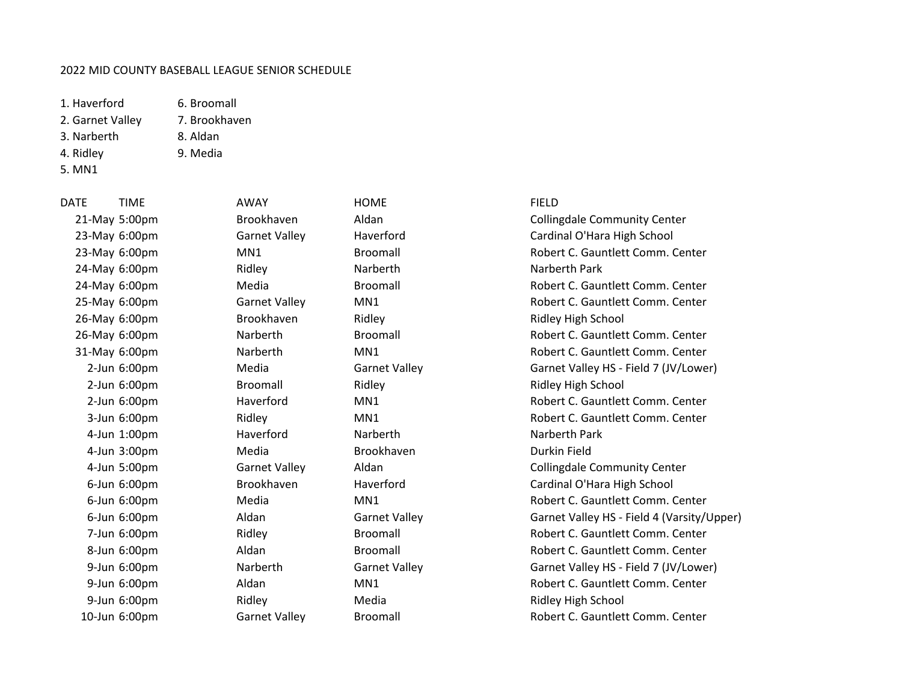## 2022 MID COUNTY BASEBALL LEAGUE SENIOR SCHEDULE

1. Haverford 6. Broomall

- 2. Garnet Valley 7. Brookhaven
- 3. Narberth 8. Aldan
- 4. Ridley 9. Media
- 5. MN1
- 
- 

24-May 6:00pm Ridley Narberth Narberth Park

DATE TIME AWAY HOME FIELD 4-Jun 3:00pm Media Brookhaven Durkin Field

21-May 5:00pm Brookhaven Aldan Collingdale Community Center 23-May 6:00pm Garnet Valley Haverford Gardinal O'Hara High School 23-May 6:00pm MN1 Broomall Broomall Broomall Robert C. Gauntlett Comm. Center 24-May 6:00pm Media Broomall Robert C. Gauntlett Comm. Center 25-May 6:00pm Garnet Valley MN1 Robert C. Gauntlett Comm. Center 26-May 6:00pm Brookhaven Ridley Ridley High School 26-May 6:00pm Narberth Broomall Broomall Robert C. Gauntlett Comm. Center 31-May 6:00pm Narberth MN1 Robert C. Gauntlett Comm. Center 2-Jun 6:00pm Media Garnet Valley Garnet Valley HS - Field 7 (JV/Lower) 2-Jun 6:00pm Broomall Ridley Ridley High School 2-Jun 6:00pm Haverford MN1 Robert C. Gauntlett Comm. Center 3-Jun 6:00pm Ridley MN1 Robert C. Gauntlett Comm. Center 4-Jun 1:00pm Haverford Narberth Narberth Park 4-Jun 5:00pm Garnet Valley Aldan Collingdale Community Center 6-Jun 6:00pm Brookhaven Haverford Cardinal O'Hara High School 6-Jun 6:00pm Media MN1 Robert C. Gauntlett Comm. Center 6-Jun 6:00pm Aldan Garnet Valley Garnet Valley HS - Field 4 (Varsity/Upper) 7-Jun 6:00pm Ridley Broomall Robert C. Gauntlett Comm. Center 8-Jun 6:00pm Aldan Broomall Robert C. Gauntlett Comm. Center 9-Jun 6:00pm Narberth Garnet Valley Garnet Valley HS - Field 7 (JV/Lower) 9-Jun 6:00pm Aldan MN1 Robert C. Gauntlett Comm. Center 9-Jun 6:00pm Ridley Media Ridley High School 10-Jun 6:00pm Garnet Valley Broomall Robert C. Gauntlett Comm. Center